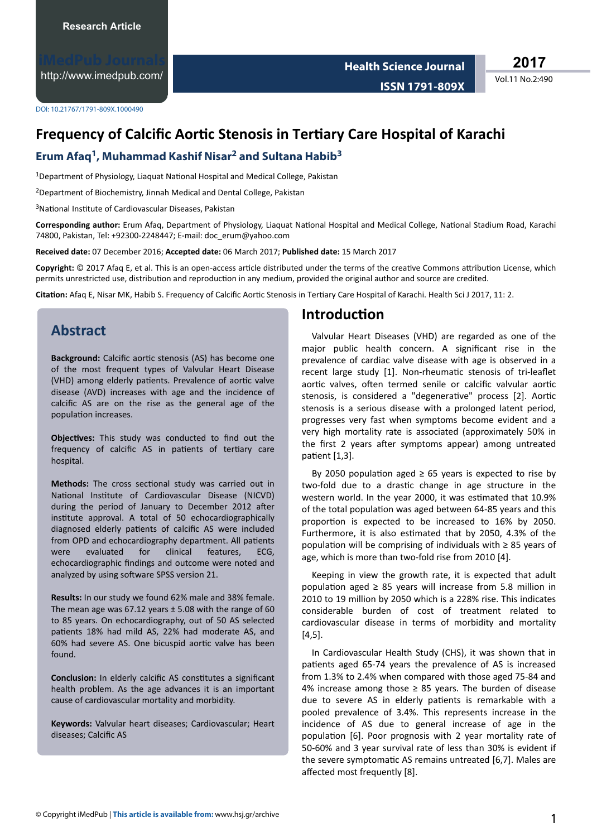<http://www.imedpub.com/>

**2017**

Vol.11 No.2:490

DOI: 10.21767/1791-809X.1000490

# **Frequency of Calcific Aortic Stenosis in Tertiary Care Hospital of Karachi**

#### **Erum Afaq<sup>1</sup> , Muhammad Kashif Nisar<sup>2</sup> and Sultana Habib<sup>3</sup>**

<sup>1</sup>Department of Physiology, Liaquat National Hospital and Medical College, Pakistan

<sup>2</sup>Department of Biochemistry, Jinnah Medical and Dental College, Pakistan

<sup>3</sup>National Institute of Cardiovascular Diseases, Pakistan

Corresponding author: Erum Afaq, Department of Physiology, Liaquat National Hospital and Medical College, National Stadium Road, Karachi 74800, Pakistan, Tel: +92300-2248447; E-mail: [doc\\_erum@yahoo.com](mailto:doc_erum@yahoo.com)

**Received date:** 07 December 2016; **Accepted date:** 06 March 2017; **Published date:** 15 March 2017

**Copyright:** © 2017 Afaq E, et al. This is an open-access article distributed under the terms of the creative Commons attribution License, which permits unrestricted use, distribution and reproduction in any medium, provided the original author and source are credited.

Citation: Afaq E, Nisar MK, Habib S. Frequency of Calcific Aortic Stenosis in Tertiary Care Hospital of Karachi. Health Sci J 2017, 11: 2.

### **Abstract**

Background: Calcific aortic stenosis (AS) has become one of the most frequent types of Valvular Heart Disease (VHD) among elderly patients. Prevalence of aortic valve disease (AVD) increases with age and the incidence of calcific AS are on the rise as the general age of the population increases.

Objectives: This study was conducted to find out the frequency of calcific AS in patients of tertiary care hospital.

Methods: The cross sectional study was carried out in National Institute of Cardiovascular Disease (NICVD) during the period of January to December 2012 after institute approval. A total of 50 echocardiographically diagnosed elderly patients of calcific AS were included from OPD and echocardiography department. All patients were evaluated for clinical features, ECG, echocardiographic findings and outcome were noted and analyzed by using software SPSS version 21.

**Results:** In our study we found 62% male and 38% female. The mean age was  $67.12$  years  $\pm$  5.08 with the range of 60 to 85 years. On echocardiography, out of 50 AS selected patients 18% had mild AS, 22% had moderate AS, and 60% had severe AS. One bicuspid aortic valve has been found.

**Conclusion:** In elderly calcific AS constitutes a significant health problem. As the age advances it is an important cause of cardiovascular mortality and morbidity.

**Keywords:** Valvular heart diseases; Cardiovascular; Heart diseases: Calcific AS

#### **Introduction**

Valvular Heart Diseases (VHD) are regarded as one of the major public health concern. A significant rise in the prevalence of cardiac valve disease with age is observed in a recent large study [1]. Non-rheumatic stenosis of tri-leaflet aortic valves, often termed senile or calcific valvular aortic stenosis, is considered a "degenerative" process [2]. Aortic stenosis is a serious disease with a prolonged latent period, progresses very fast when symptoms become evident and a very high mortality rate is associated (approximately 50% in the first 2 years after symptoms appear) among untreated patient [1,3].

By 2050 population aged  $\geq$  65 years is expected to rise by two-fold due to a drastic change in age structure in the western world. In the year 2000, it was estimated that 10.9% of the total population was aged between 64-85 years and this proportion is expected to be increased to 16% by 2050. Furthermore, it is also estimated that by 2050, 4.3% of the population will be comprising of individuals with  $\geq 85$  years of age, which is more than two-fold rise from 2010 [4].

Keeping in view the growth rate, it is expected that adult population aged  $\geq$  85 years will increase from 5.8 million in 2010 to 19 million by 2050 which is a 228% rise. This indicates considerable burden of cost of treatment related to cardiovascular disease in terms of morbidity and mortality [4,5].

In Cardiovascular Health Study (CHS), it was shown that in patients aged 65-74 years the prevalence of AS is increased from 1.3% to 2.4% when compared with those aged 75-84 and 4% increase among those  $\geq$  85 years. The burden of disease due to severe AS in elderly patients is remarkable with a pooled prevalence of 3.4%. This represents increase in the incidence of AS due to general increase of age in the population [6]. Poor prognosis with 2 year mortality rate of 50-60% and 3 year survival rate of less than 30% is evident if the severe symptomatic AS remains untreated [6,7]. Males are affected most frequently [8].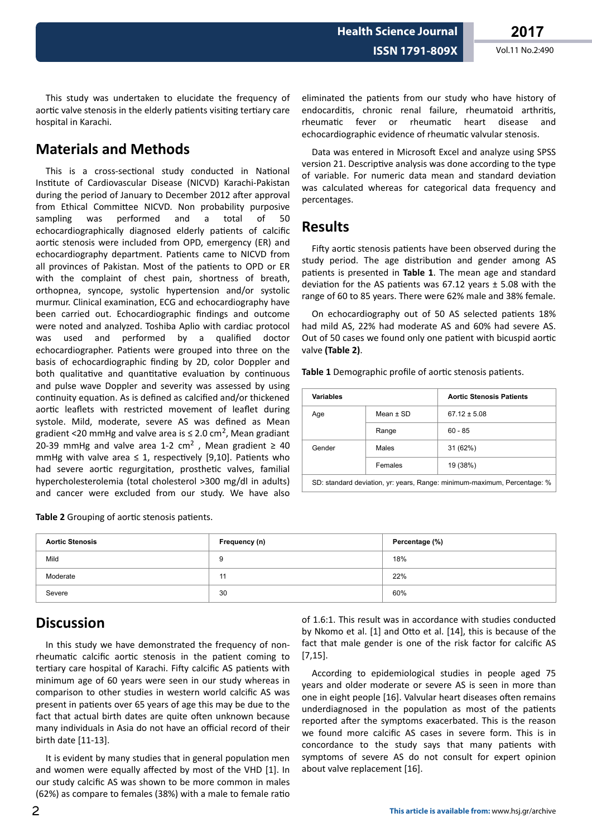This study was undertaken to elucidate the frequency of aortic valve stenosis in the elderly patients visiting tertiary care hospital in Karachi.

## **Materials and Methods**

This is a cross-sectional study conducted in National Institute of Cardiovascular Disease (NICVD) Karachi-Pakistan during the period of January to December 2012 after approval from Ethical Committee NICVD. Non probability purposive sampling was performed and a total of 50 echocardiographically diagnosed elderly patients of calcific aortic stenosis were included from OPD, emergency (ER) and echocardiography department. Patients came to NICVD from all provinces of Pakistan. Most of the patients to OPD or ER with the complaint of chest pain, shortness of breath, orthopnea, syncope, systolic hypertension and/or systolic murmur. Clinical examination, ECG and echocardiography have been carried out. Echocardiographic findings and outcome were noted and analyzed. Toshiba Aplio with cardiac protocol was used and performed by a qualified doctor echocardiographer. Patients were grouped into three on the basis of echocardiographic finding by 2D, color Doppler and both qualitative and quantitative evaluation by continuous and pulse wave Doppler and severity was assessed by using continuity equation. As is defined as calcified and/or thickened aortic leaflets with restricted movement of leaflet during systole. Mild, moderate, severe AS was defined as Mean gradient <20 mmHg and valve area is  $\leq$  2.0 cm<sup>2</sup>, Mean gradiant 20-39 mmHg and valve area 1-2 cm<sup>2</sup>, Mean gradient  $\geq 40$ mmHg with valve area  $\leq$  1, respectively [9,10]. Patients who had severe aortic regurgitation, prosthetic valves, familial hypercholesterolemia (total cholesterol >300 mg/dl in adults) and cancer were excluded from our study. We have also

Table 2 Grouping of aortic stenosis patients.

eliminated the patients from our study who have history of endocarditis, chronic renal failure, rheumatoid arthritis, rheumatic fever or rheumatic heart disease and echocardiographic evidence of rheumatic valvular stenosis.

Data was entered in Microsoft Excel and analyze using SPSS version 21. Descriptive analysis was done according to the type of variable. For numeric data mean and standard deviation was calculated whereas for categorical data frequency and percentages.

#### **Results**

Fifty aortic stenosis patients have been observed during the study period. The age distribution and gender among AS patients is presented in Table 1. The mean age and standard deviation for the AS patients was 67.12 years  $\pm$  5.08 with the range of 60 to 85 years. There were 62% male and 38% female.

On echocardiography out of 50 AS selected patients 18% had mild AS, 22% had moderate AS and 60% had severe AS. Out of 50 cases we found only one patient with bicuspid aortic valve **(Table 2)**.

Table 1 Demographic profile of aortic stenosis patients.

| <b>Variables</b>                                                             |               | <b>Aortic Stenosis Patients</b> |  |
|------------------------------------------------------------------------------|---------------|---------------------------------|--|
| Age                                                                          | Mean $\pm$ SD | $67.12 \pm 5.08$                |  |
|                                                                              | Range         | $60 - 85$                       |  |
| Gender                                                                       | Males         | 31 (62%)                        |  |
|                                                                              | Females       | 19 (38%)                        |  |
| OD: standard decision concessor Dancer printerior practiceira. Dependence 0/ |               |                                 |  |

SD: standard deviation, yr: years, Range: minimum-maximum, Percentage: %

| <b>Aortic Stenosis</b> | Frequency (n) | Percentage (%) |
|------------------------|---------------|----------------|
| Mild                   | 9             | 18%            |
| Moderate               | 11            | 22%            |
| Severe                 | 30            | 60%            |

### **Discussion**

In this study we have demonstrated the frequency of nonrheumatic calcific aortic stenosis in the patient coming to tertiary care hospital of Karachi. Fifty calcific AS patients with minimum age of 60 years were seen in our study whereas in comparison to other studies in western world calcific AS was present in patients over 65 years of age this may be due to the fact that actual birth dates are quite often unknown because many individuals in Asia do not have an official record of their birth date [11-13].

It is evident by many studies that in general population men and women were equally affected by most of the VHD [1]. In our study calcific AS was shown to be more common in males  $(62%)$  as compare to females  $(38%)$  with a male to female ratio

of 1.6:1. This result was in accordance with studies conducted by Nkomo et al. [1] and Otto et al. [14], this is because of the fact that male gender is one of the risk factor for calcific AS [7,15].

According to epidemiological studies in people aged 75 years and older moderate or severe AS is seen in more than one in eight people [16]. Valvular heart diseases often remains underdiagnosed in the population as most of the patients reported after the symptoms exacerbated. This is the reason we found more calcific AS cases in severe form. This is in concordance to the study says that many patients with symptoms of severe AS do not consult for expert opinion about valve replacement [16].